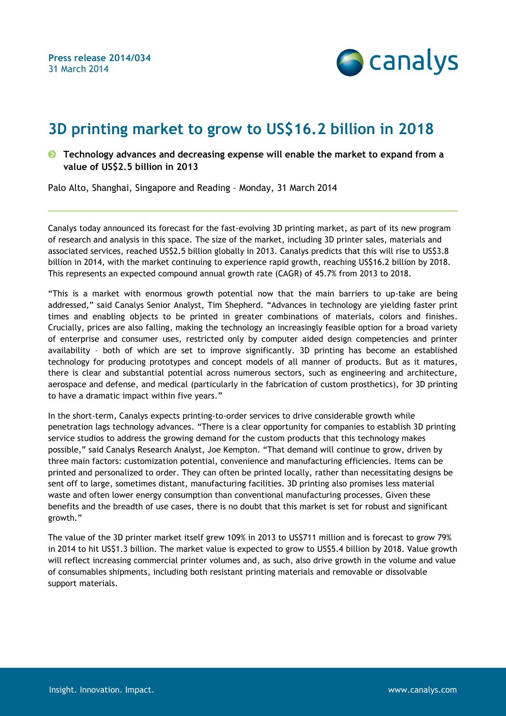

## **3D printing market to grow to US\$16.2 billion in 2018**

**Technology advances and decreasing expense will enable the market to expand from a value of US\$2.5 billion in 2013**

Palo Alto, Shanghai, Singapore and Reading – Monday, 31 March 2014

Canalys today announced its forecast for the fast-evolving 3D printing market, as part of its new program of research and analysis in this space. The size of the market, including 3D printer sales, materials and associated services, reached US\$2.5 billion globally in 2013. Canalys predicts that this will rise to US\$3.8 billion in 2014, with the market continuing to experience rapid growth, reaching US\$16.2 billion by 2018. This represents an expected compound annual growth rate (CAGR) of 45.7% from 2013 to 2018.

"This is a market with enormous growth potential now that the main barriers to up-take are being addressed," said Canalys Senior Analyst, Tim Shepherd. "Advances in technology are yielding faster print times and enabling objects to be printed in greater combinations of materials, colors and finishes. Crucially, prices are also falling, making the technology an increasingly feasible option for a broad variety of enterprise and consumer uses, restricted only by computer aided design competencies and printer availability – both of which are set to improve significantly. 3D printing has become an established technology for producing prototypes and concept models of all manner of products. But as it matures, there is clear and substantial potential across numerous sectors, such as engineering and architecture, aerospace and defense, and medical (particularly in the fabrication of custom prosthetics), for 3D printing to have a dramatic impact within five years."

In the short-term, Canalys expects printing-to-order services to drive considerable growth while penetration lags technology advances. "There is a clear opportunity for companies to establish 3D printing service studios to address the growing demand for the custom products that this technology makes possible," said Canalys Research Analyst, Joe Kempton. "That demand will continue to grow, driven by three main factors: customization potential, convenience and manufacturing efficiencies. Items can be printed and personalized to order. They can often be printed locally, rather than necessitating designs be sent off to large, sometimes distant, manufacturing facilities. 3D printing also promises less material waste and often lower energy consumption than conventional manufacturing processes. Given these benefits and the breadth of use cases, there is no doubt that this market is set for robust and significant growth."

The value of the 3D printer market itself grew 109% in 2013 to US\$711 million and is forecast to grow 79% in 2014 to hit US\$1.3 billion. The market value is expected to grow to US\$5.4 billion by 2018. Value growth will reflect increasing commercial printer volumes and, as such, also drive growth in the volume and value of consumables shipments, including both resistant printing materials and removable or dissolvable support materials.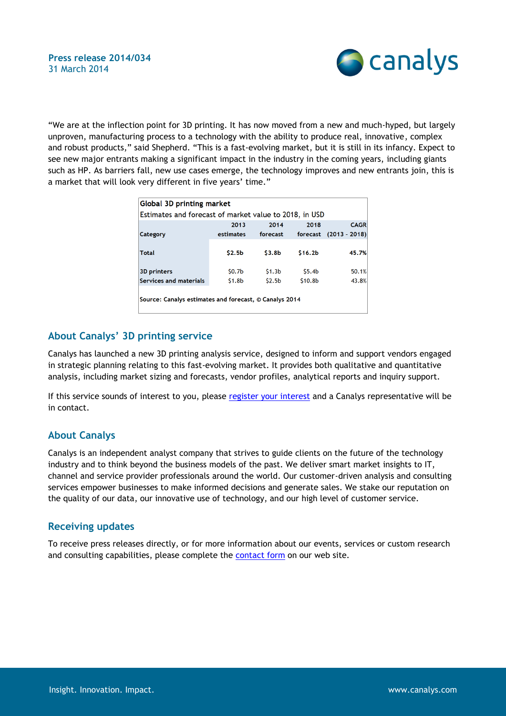

"We are at the inflection point for 3D printing. It has now moved from a new and much-hyped, but largely unproven, manufacturing process to a technology with the ability to produce real, innovative, complex and robust products," said Shepherd. "This is a fast-evolving market, but it is still in its infancy. Expect to see new major entrants making a significant impact in the industry in the coming years, including giants such as HP. As barriers fall, new use cases emerge, the technology improves and new entrants join, this is a market that will look very different in five years' time."

| Global 3D printing market                              |                    |                    |                     |                 |
|--------------------------------------------------------|--------------------|--------------------|---------------------|-----------------|
| Estimates and forecast of market value to 2018, in USD |                    |                    |                     |                 |
|                                                        | 2013               | 2014               | 2018                | <b>CAGR</b>     |
| Category                                               | estimates          | forecast           | forecast            | $(2013 - 2018)$ |
|                                                        |                    |                    |                     |                 |
| <b>Total</b>                                           | \$2.5 <sub>b</sub> | \$3.8 <sub>b</sub> | \$16.2 <sub>b</sub> | 45.7%           |
|                                                        |                    |                    |                     |                 |
| <b>3D</b> printers                                     | \$0.7 <sub>b</sub> | \$1.3 <sub>b</sub> | \$5.4 <sub>b</sub>  | 50.1%           |
| Services and materials                                 | \$1.8 <sub>b</sub> | \$2.5 <sub>b</sub> | \$10.8b             | 43.8%           |
|                                                        |                    |                    |                     |                 |
| Source: Canalys estimates and forecast, © Canalys 2014 |                    |                    |                     |                 |
|                                                        |                    |                    |                     |                 |

## **About Canalys' 3D printing service**

Canalys has launched a new 3D printing analysis service, designed to inform and support vendors engaged in strategic planning relating to this fast-evolving market. It provides both qualitative and quantitative analysis, including market sizing and forecasts, vendor profiles, analytical reports and inquiry support.

If this service sounds of interest to you, please [register your interest](http://www.canalys.com/content/canalys-new-3d-printing-service) and a Canalys representative will be in contact.

## **About Canalys**

Canalys is an independent analyst company that strives to guide clients on the future of the technology industry and to think beyond the business models of the past. We deliver smart market insights to IT, channel and service provider professionals around the world. Our customer-driven analysis and consulting services empower businesses to make informed decisions and generate sales. We stake our reputation on the quality of our data, our innovative use of technology, and our high level of customer service.

## **Receiving updates**

To receive press releases directly, or for more information about our events, services or custom research and consulting capabilities, please complete the [contact form](http://www.canalys.com/contact) on our web site.